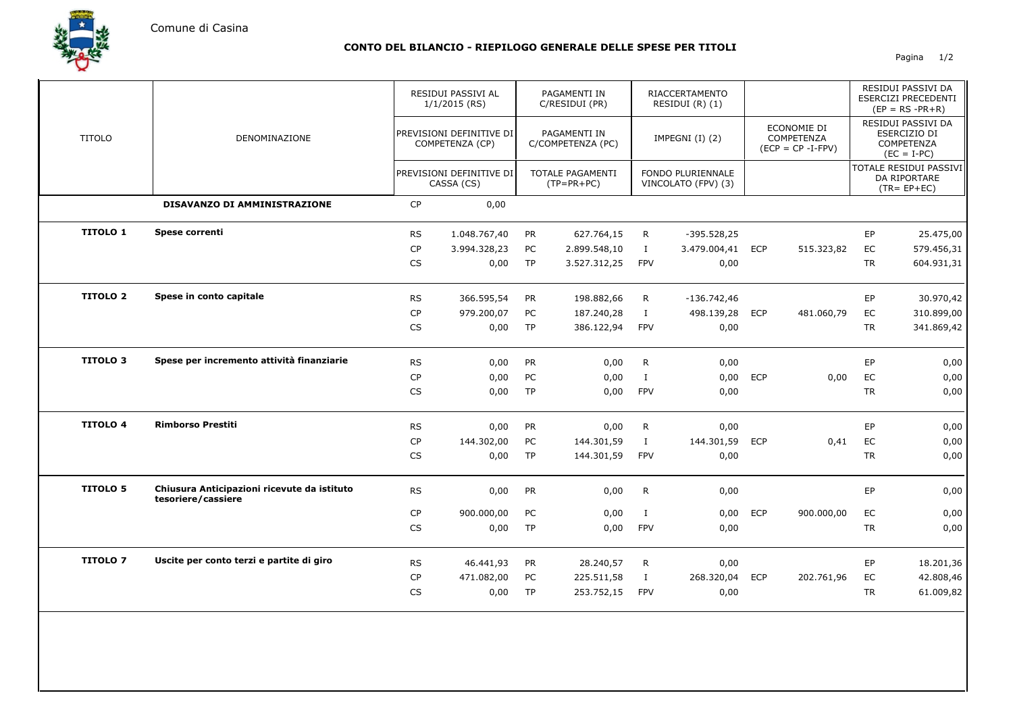Comune di Casina

## **CONTO DEL BILANCIO - RIEPILOGO GENERALE DELLE SPESE PER TITOLI**

Pagina 1/2

|                 | DENOMINAZIONE                                                     |           | RESIDUI PASSIVI AL<br>$1/1/2015$ (RS)<br>PREVISIONI DEFINITIVE DI<br>COMPETENZA (CP) |           | PAGAMENTI IN<br>C/RESIDUI (PR)<br>PAGAMENTI IN<br>C/COMPETENZA (PC) |              | RIACCERTAMENTO<br>RESIDUI $(R)$ $(1)$<br>IMPEGNI $(I)$ $(2)$ |            |                                                   |           | RESIDUI PASSIVI DA<br>ESERCIZI PRECEDENTI<br>$(EP = RS - PR + R)$ |  |
|-----------------|-------------------------------------------------------------------|-----------|--------------------------------------------------------------------------------------|-----------|---------------------------------------------------------------------|--------------|--------------------------------------------------------------|------------|---------------------------------------------------|-----------|-------------------------------------------------------------------|--|
| <b>TITOLO</b>   |                                                                   |           |                                                                                      |           |                                                                     |              |                                                              |            | ECONOMIE DI<br>COMPETENZA<br>$(ECP = CP - I-FPV)$ |           | RESIDUI PASSIVI DA<br>ESERCIZIO DI<br>COMPETENZA<br>$(EC = I-PC)$ |  |
|                 |                                                                   |           | PREVISIONI DEFINITIVE DI<br>CASSA (CS)                                               |           | TOTALE PAGAMENTI<br>$(TP=PR+PC)$                                    |              | FONDO PLURIENNALE<br>VINCOLATO (FPV) (3)                     |            |                                                   |           | TOTALE RESIDUI PASSIVI<br>DA RIPORTARE<br>$(TR = EP + EC)$        |  |
|                 | DISAVANZO DI AMMINISTRAZIONE                                      | CP        | 0,00                                                                                 |           |                                                                     |              |                                                              |            |                                                   |           |                                                                   |  |
| <b>TITOLO 1</b> | Spese correnti                                                    | <b>RS</b> | 1.048.767,40                                                                         | <b>PR</b> | 627.764,15                                                          | R            | $-395.528,25$                                                |            |                                                   | EP        | 25.475,00                                                         |  |
|                 |                                                                   | CP        | 3.994.328,23                                                                         | PC        | 2.899.548,10                                                        | $\bf I$      | 3.479.004,41 ECP                                             |            | 515.323,82                                        | EC        | 579.456,31                                                        |  |
|                 |                                                                   | CS        | 0,00                                                                                 | <b>TP</b> | 3.527.312,25                                                        | <b>FPV</b>   | 0,00                                                         |            |                                                   | <b>TR</b> | 604.931,31                                                        |  |
| <b>TITOLO 2</b> | Spese in conto capitale                                           | <b>RS</b> | 366.595,54                                                                           | <b>PR</b> | 198.882,66                                                          | R            | $-136.742,46$                                                |            |                                                   | EP        | 30.970,42                                                         |  |
|                 |                                                                   | <b>CP</b> | 979.200,07                                                                           | PC        | 187.240,28                                                          | $\bf I$      | 498.139,28 ECP                                               |            | 481.060,79                                        | EC        | 310.899,00                                                        |  |
|                 |                                                                   | <b>CS</b> | 0,00                                                                                 | <b>TP</b> | 386.122,94                                                          | <b>FPV</b>   | 0,00                                                         |            |                                                   | <b>TR</b> | 341.869,42                                                        |  |
| <b>TITOLO 3</b> | Spese per incremento attività finanziarie                         | <b>RS</b> | 0,00                                                                                 | PR        | 0,00                                                                | $\mathsf{R}$ | 0,00                                                         |            |                                                   | EP        | 0,00                                                              |  |
|                 |                                                                   | <b>CP</b> | 0,00                                                                                 | PC        | 0,00                                                                | $\mathbf{I}$ | 0,00                                                         | <b>ECP</b> | 0,00                                              | EC        | 0,00                                                              |  |
|                 |                                                                   | <b>CS</b> | 0,00                                                                                 | TP        | 0,00                                                                | <b>FPV</b>   | 0,00                                                         |            |                                                   | <b>TR</b> | 0,00                                                              |  |
| <b>TITOLO 4</b> | <b>Rimborso Prestiti</b>                                          | <b>RS</b> | 0,00                                                                                 | PR        | 0,00                                                                | $\mathsf{R}$ | 0,00                                                         |            |                                                   | EP        | 0,00                                                              |  |
|                 |                                                                   | CP        | 144.302,00                                                                           | PC        | 144.301,59                                                          | $\mathbf{I}$ | 144.301,59                                                   | <b>ECP</b> | 0,41                                              | EC        | 0,00                                                              |  |
|                 |                                                                   | CS        | 0,00                                                                                 | <b>TP</b> | 144.301,59                                                          | <b>FPV</b>   | 0,00                                                         |            |                                                   | <b>TR</b> | 0,00                                                              |  |
| <b>TITOLO 5</b> | Chiusura Anticipazioni ricevute da istituto<br>tesoriere/cassiere | <b>RS</b> | 0,00                                                                                 | PR        | 0,00                                                                | $\mathsf{R}$ | 0,00                                                         |            |                                                   | EP        | 0,00                                                              |  |
|                 |                                                                   | <b>CP</b> | 900.000,00                                                                           | PC        | 0,00                                                                | $\bf{I}$     | 0,00                                                         | <b>ECP</b> | 900.000,00                                        | EC        | 0,00                                                              |  |
|                 |                                                                   | <b>CS</b> | 0,00                                                                                 | <b>TP</b> | 0,00                                                                | <b>FPV</b>   | 0,00                                                         |            |                                                   | <b>TR</b> | 0,00                                                              |  |
| <b>TITOLO 7</b> | Uscite per conto terzi e partite di giro                          | <b>RS</b> | 46.441,93                                                                            | PR        | 28.240,57                                                           | R            | 0,00                                                         |            |                                                   | EP        | 18.201,36                                                         |  |
|                 |                                                                   | CP        | 471.082,00                                                                           | PC        | 225.511,58                                                          | $\mathbf{I}$ | 268.320,04                                                   | <b>ECP</b> | 202.761,96                                        | EC        | 42.808,46                                                         |  |
|                 |                                                                   | CS        | 0,00                                                                                 | <b>TP</b> | 253.752,15                                                          | <b>FPV</b>   | 0,00                                                         |            |                                                   | <b>TR</b> | 61.009,82                                                         |  |
|                 |                                                                   |           |                                                                                      |           |                                                                     |              |                                                              |            |                                                   |           |                                                                   |  |